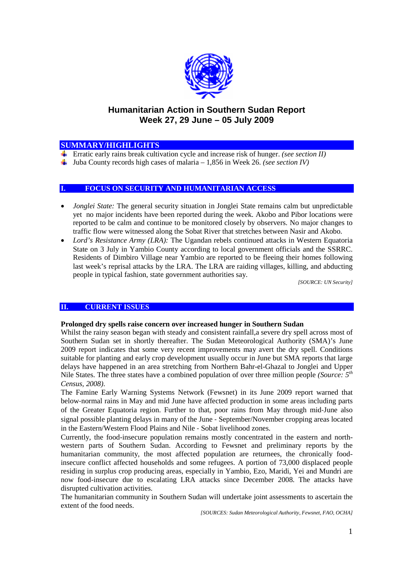

# **Humanitarian Action in Southern Sudan Report Week 27, 29 June – 05 July 2009**

# **SUMMARY/HIGHLIGHTS**

- Erratic early rains break cultivation cycle and increase risk of hunger. *(see section II)*
- $\downarrow$  Juba County records high cases of malaria 1,856 in Week 26. *(see section IV)*

## **I. FOCUS ON SECURITY AND HUMANITARIAN ACCESS**

- *Jonglei State:* The general security situation in Jonglei State remains calm but unpredictable yet no major incidents have been reported during the week. Akobo and Pibor locations were reported to be calm and continue to be monitored closely by observers. No major changes to traffic flow were witnessed along the Sobat River that stretches between Nasir and Akobo.
- *Lord's Resistance Army (LRA):* The Ugandan rebels continued attacks in Western Equatoria State on 3 July in Yambio County according to local government officials and the SSRRC. Residents of Dimbiro Village near Yambio are reported to be fleeing their homes following last week's reprisal attacks by the LRA. The LRA are raiding villages, killing, and abducting people in typical fashion, state government authorities say.

*[SOURCE: UN Security]*

### **II. CURRENT ISSUES**

#### **Prolonged dry spells raise concern over increased hunger in Southern Sudan**

Whilst the rainy season began with steady and consistent rainfall, a severe dry spell across most of Southern Sudan set in shortly thereafter. The Sudan Meteorological Authority (SMA)'s June 2009 report indicates that some very recent improvements may avert the dry spell. Conditions suitable for planting and early crop development usually occur in June but SMA reports that large delays have happened in an area stretching from Northern Bahr-el-Ghazal to Jonglei and Upper Nile States. The three states have a combined population of over three million people *(Source: 5 th Census, 2008)*.

The Famine Early Warning Systems Network (Fewsnet) in its June 2009 report warned that below-normal rains in May and mid June have affected production in some areas including parts of the Greater Equatoria region. Further to that, poor rains from May through mid-June also signal possible planting delays in many of the June - September/November cropping areas located in the Eastern/Western Flood Plains and Nile - Sobat livelihood zones.

Currently, the food-insecure population remains mostly concentrated in the eastern and northwestern parts of Southern Sudan. According to Fewsnet and preliminary reports by the humanitarian community, the most affected population are returnees, the chronically foodinsecure conflict affected households and some refugees. A portion of 73,000 displaced people residing in surplus crop producing areas, especially in Yambio, Ezo, Maridi, Yei and Mundri are now food-insecure due to escalating LRA attacks since December 2008. The attacks have disrupted cultivation activities.

The humanitarian community in Southern Sudan will undertake joint assessments to ascertain the extent of the food needs.

*[SOURCES: Sudan Meteorological Authority, Fewsnet, FAO, OCHA]*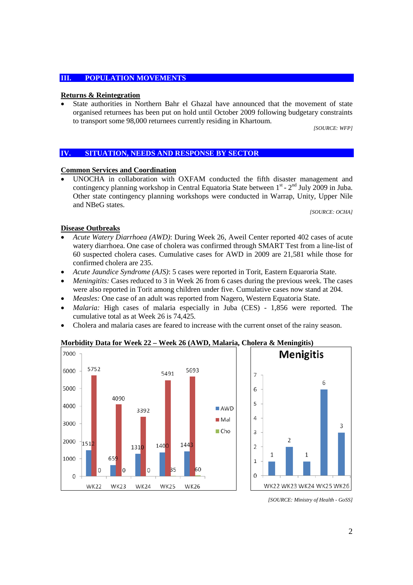### **III. POPULATION MOVEMENTS**

### **Returns & Reintegration**

 State authorities in Northern Bahr el Ghazal have announced that the movement of state organised returnees has been put on hold until October 2009 following budgetary constraints to transport some 98,000 returnees currently residing in Khartoum.

*[SOURCE: WFP]*

### **IV. SITUATION, NEEDS AND RESPONSE BY SECTOR**

### **Common Services and Coordination**

 UNOCHA in collaboration with OXFAM conducted the fifth disaster management and contingency planning workshop in Central Equatoria State between  $1^{st}$  -  $2^{nd}$  July 2009 in Juba. Other state contingency planning workshops were conducted in Warrap, Unity, Upper Nile and NBeG states.

*[SOURCE: OCHA]*

### **Disease Outbreaks**

- *Acute Watery Diarrhoea (AWD)*: During Week 26, Aweil Center reported 402 cases of acute watery diarrhoea. One case of cholera was confirmed through SMART Test from a line-list of 60 suspected cholera cases. Cumulative cases for AWD in 2009 are 21,581 while those for confirmed cholera are 235.
- *Acute Jaundice Syndrome (AJS)*: 5 cases were reported in Torit, Eastern Equaroria State.
- *Meningitits:* Cases reduced to 3 in Week 26 from 6 cases during the previous week. The cases were also reported in Torit among children under five. Cumulative cases now stand at 204.
- *Measles:* One case of an adult was reported from Nagero, Western Equatoria State.
- *Malaria:* High cases of malaria especially in Juba (CES) 1,856 were reported. The cumulative total as at Week 26 is 74,425.
- Cholera and malaria cases are feared to increase with the current onset of the rainy season.

#### **Morbidity Data for Week 22 – Week 26 (AWD, Malaria, Cholera & Meningitis)**



*<sup>[</sup>SOURCE: Ministry of Health - GoSS]*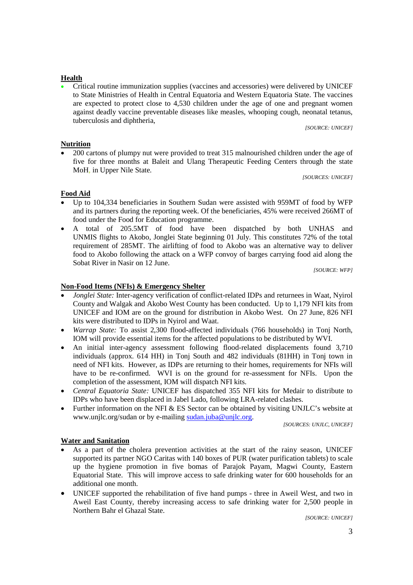# **Health**

 Critical routine immunization supplies (vaccines and accessories) were delivered by UNICEF to State Ministries of Health in Central Equatoria and Western Equatoria State. The vaccines are expected to protect close to 4,530 children under the age of one and pregnant women against deadly vaccine preventable diseases like measles, whooping cough, neonatal tetanus, tuberculosis and diphtheria,

*[SOURCE: UNICEF]*

# **Nutrition**

 200 cartons of plumpy nut were provided to treat 315 malnourished children under the age of five for three months at Baleit and Ulang Therapeutic Feeding Centers through the state MoH*,* in Upper Nile State*.*

*[SOURCES: UNICEF]*

# **Food Aid**

- Up to 104,334 beneficiaries in Southern Sudan were assisted with 959MT of food by WFP and its partners during the reporting week. Of the beneficiaries, 45% were received 266MT of food under the Food for Education programme.
- A total of 205.5MT of food have been dispatched by both UNHAS and UNMIS flights to Akobo, Jonglei State beginning 01 July. This constitutes 72% of the total requirement of 285MT. The airlifting of food to Akobo was an alternative way to deliver food to Akobo following the attack on a WFP convoy of barges carrying food aid along the Sobat River in Nasir on 12 June.

*[SOURCE: WFP]*

# **Non-Food Items (NFIs) & Emergency Shelter**

- *Jonglei State:* Inter-agency verification of conflict-related IDPs and returnees in Waat, Nyirol County and Walgak and Akobo West County has been conducted. Up to 1,179 NFI kits from UNICEF and IOM are on the ground for distribution in Akobo West. On 27 June, 826 NFI kits were distributed to IDPs in Nyirol and Waat.
- *Warrap State:* To assist 2,300 flood-affected individuals (766 households) in Tonj North, IOM will provide essential items for the affected populations to be distributed by WVI.
- An initial inter-agency assessment following flood-related displacements found 3,710 individuals (approx. 614 HH) in Tonj South and 482 individuals (81HH) in Tonj town in need of NFI kits. However, as IDPs are returning to their homes, requirements for NFIs will have to be re-confirmed. WVI is on the ground for re-assessment for NFIs. Upon the completion of the assessment, IOM will dispatch NFI kits.
- *Central Equatoria State:* UNICEF has dispatched 355 NFI kits for Medair to distribute to IDPs who have been displaced in Jabel Lado, following LRA-related clashes.
- Further information on the NFI & ES Sector can be obtained by visiting UNJLC's website at www.unjlc.org/sudan or by e-mailing sudan.juba@unjlc.org.

*[SOURCES: UNJLC, UNICEF]*

### **Water and Sanitation**

- As a part of the cholera prevention activities at the start of the rainy season, UNICEF supported its partner NGO Caritas with 140 boxes of PUR (water purification tablets) to scale up the hygiene promotion in five bomas of Parajok Payam, Magwi County, Eastern Equatorial State. This will improve access to safe drinking water for 600 households for an additional one month.
- UNICEF supported the rehabilitation of five hand pumps three in Aweil West, and two in Aweil East County, thereby increasing access to safe drinking water for 2,500 people in Northern Bahr el Ghazal State.

*[SOURCE: UNICEF]*